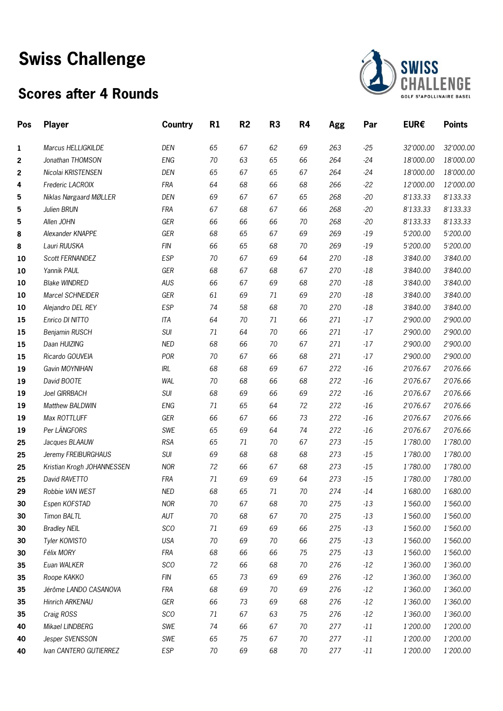# **Swiss Challenge**

### **Scores after 4 Rounds**



| Pos | <b>Player</b>              | <b>Country</b> | R1     | R <sub>2</sub> | R3 | R4 | Agg | Par   | EUR€      | <b>Points</b> |
|-----|----------------------------|----------------|--------|----------------|----|----|-----|-------|-----------|---------------|
| 1   | Marcus HELLIGKILDE         | DEN            | 65     | 67             | 62 | 69 | 263 | $-25$ | 32'000.00 | 32'000.00     |
| 2   | Jonathan THOMSON           | <b>ENG</b>     | 70     | 63             | 65 | 66 | 264 | $-24$ | 18'000.00 | 18'000.00     |
| 2   | Nicolai KRISTENSEN         | DEN            | 65     | 67             | 65 | 67 | 264 | $-24$ | 18'000.00 | 18'000.00     |
| 4   | Frederic LACROIX           | <b>FRA</b>     | 64     | 68             | 66 | 68 | 266 | $-22$ | 12'000.00 | 12'000.00     |
| 5   | Niklas Nørgaard MØLLER     | DEN            | 69     | 67             | 67 | 65 | 268 | $-20$ | 8'133.33  | 8'133.33      |
| 5   | Julien BRUN                | <b>FRA</b>     | 67     | 68             | 67 | 66 | 268 | $-20$ | 8'133.33  | 8'133.33      |
| 5   | Allen JOHN                 | GER            | 66     | 66             | 66 | 70 | 268 | $-20$ | 8'133.33  | 8'133.33      |
| 8   | Alexander KNAPPE           | GER            | 68     | 65             | 67 | 69 | 269 | $-19$ | 5'200.00  | 5'200.00      |
| 8   | Lauri RUUSKA               | <b>FIN</b>     | 66     | 65             | 68 | 70 | 269 | $-19$ | 5'200.00  | 5'200.00      |
| 10  | Scott FERNANDEZ            | <b>ESP</b>     | 70     | 67             | 69 | 64 | 270 | $-18$ | 3'840.00  | 3'840.00      |
| 10  | Yannik PAUL                | GER            | 68     | 67             | 68 | 67 | 270 | $-18$ | 3'840.00  | 3'840.00      |
| 10  | <b>Blake WINDRED</b>       | AUS            | 66     | 67             | 69 | 68 | 270 | $-18$ | 3'840.00  | 3'840.00      |
| 10  | Marcel SCHNEIDER           | GER            | 61     | 69             | 71 | 69 | 270 | $-18$ | 3'840.00  | 3'840.00      |
| 10  | Alejandro DEL REY          | <b>ESP</b>     | 74     | 58             | 68 | 70 | 270 | $-18$ | 3'840.00  | 3'840.00      |
| 15  | Enrico DI NITTO            | <b>ITA</b>     | 64     | 70             | 71 | 66 | 271 | $-17$ | 2'900.00  | 2'900.00      |
| 15  | Benjamin RUSCH             | SUI            | 71     | 64             | 70 | 66 | 271 | $-17$ | 2'900.00  | 2'900.00      |
| 15  | Daan HUIZING               | <b>NED</b>     | 68     | 66             | 70 | 67 | 271 | $-17$ | 2'900.00  | 2'900.00      |
| 15  | Ricardo GOUVEIA            | POR            | 70     | 67             | 66 | 68 | 271 | $-17$ | 2'900.00  | 2'900.00      |
| 19  | Gavin MOYNIHAN             | IRL            | 68     | 68             | 69 | 67 | 272 | $-16$ | 2'076.67  | 2'076.66      |
| 19  | David BOOTE                | <b>WAL</b>     | 70     | 68             | 66 | 68 | 272 | $-16$ | 2'076.67  | 2'076.66      |
| 19  | Joel GIRRBACH              | SUI            | 68     | 69             | 66 | 69 | 272 | $-16$ | 2'076.67  | 2'076.66      |
| 19  | Matthew BALDWIN            | ENG            | 71     | 65             | 64 | 72 | 272 | $-16$ | 2'076.67  | 2'076.66      |
| 19  | Max ROTTLUFF               | GER            | 66     | 67             | 66 | 73 | 272 | $-16$ | 2'076.67  | 2'076.66      |
| 19  | Per LÄNGFORS               | SWE            | 65     | 69             | 64 | 74 | 272 | $-16$ | 2'076.67  | 2'076.66      |
| 25  | Jacques BLAAUW             | <b>RSA</b>     | 65     | 71             | 70 | 67 | 273 | $-15$ | 1'780.00  | 1'780.00      |
| 25  | Jeremy FREIBURGHAUS        | SUI            | 69     | 68             | 68 | 68 | 273 | $-15$ | 1'780.00  | 1'780.00      |
| 25  | Kristian Krogh JOHANNESSEN | <b>NOR</b>     | 72     | 66             | 67 | 68 | 273 | $-15$ | 1'780.00  | 1'780.00      |
| 25  | David RAVETTO              | <b>FRA</b>     | 71     | 69             | 69 | 64 | 273 | $-15$ | 1'780.00  | 1'780.00      |
| 29  | Robbie VAN WEST            | <b>NED</b>     | 68     | 65             | 71 | 70 | 274 | $-14$ | 1'680.00  | 1'680.00      |
| 30  | Espen KOFSTAD              | <b>NOR</b>     | 70     | 67             | 68 | 70 | 275 | $-13$ | 1'560.00  | 1'560.00      |
| 30  | Timon BALTL                | AUT            | $70\,$ | 68             | 67 | 70 | 275 | $-13$ | 1'560.00  | 1'560.00      |
| 30  | <b>Bradley NEIL</b>        | <b>SCO</b>     | 71     | 69             | 69 | 66 | 275 | $-13$ | 1'560.00  | 1'560.00      |
| 30  | Tyler KOIVISTO             | USA            | 70     | 69             | 70 | 66 | 275 | $-13$ | 1'560.00  | 1'560.00      |
| 30  | Félix MORY                 | <b>FRA</b>     | 68     | 66             | 66 | 75 | 275 | $-13$ | 1'560.00  | 1'560.00      |
| 35  | Euan WALKER                | <b>SCO</b>     | 72     | 66             | 68 | 70 | 276 | $-12$ | 1'360.00  | 1'360.00      |
| 35  | Roope KAKKO                | <b>FIN</b>     | 65     | 73             | 69 | 69 | 276 | $-12$ | 1'360.00  | 1'360.00      |
| 35  | Jérôme LANDO CASANOVA      | <b>FRA</b>     | 68     | 69             | 70 | 69 | 276 | $-12$ | 1'360.00  | 1'360.00      |
| 35  | <b>Hinrich ARKENAU</b>     | GER            | 66     | 73             | 69 | 68 | 276 | $-12$ | 1'360.00  | 1'360.00      |
| 35  | Craig ROSS                 | <b>SCO</b>     | 71     | 67             | 63 | 75 | 276 | $-12$ | 1'360.00  | 1'360.00      |
| 40  | Mikael LINDBERG            | SWE            | 74     | 66             | 67 | 70 | 277 | $-11$ | 1'200.00  | 1'200.00      |
| 40  | Jesper SVENSSON            | SWE            | 65     | 75             | 67 | 70 | 277 | $-11$ | 1'200.00  | 1'200.00      |
| 40  | Ivan CANTERO GUTIERREZ     | <b>ESP</b>     | $70\,$ | 69             | 68 | 70 | 277 | $-11$ | 1'200.00  | 1'200.00      |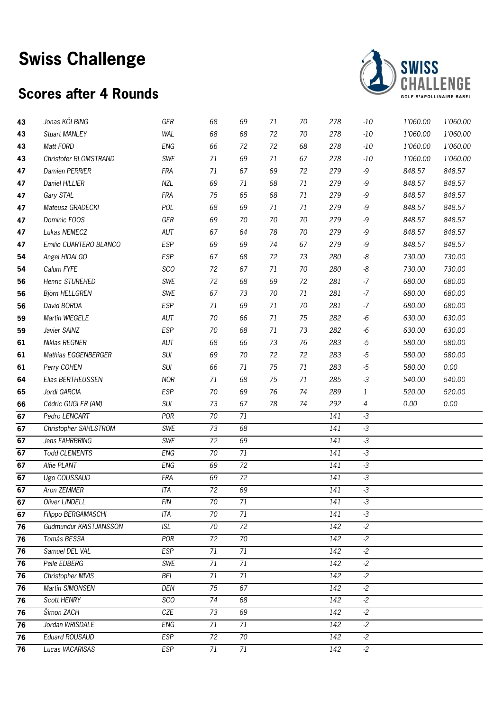# **Swiss Challenge**

### **Scores after 4 Rounds**



| 43 | Jonas KÖLBING          | GER        | 68              | 69              | 71 | 70 | 278              | $-10$              | 1'060.00 | 1'060.00 |
|----|------------------------|------------|-----------------|-----------------|----|----|------------------|--------------------|----------|----------|
| 43 | <b>Stuart MANLEY</b>   | <b>WAL</b> | 68              | 68              | 72 | 70 | 278              | $-10$              | 1'060.00 | 1'060.00 |
| 43 | Matt FORD              | <b>ENG</b> | 66              | 72              | 72 | 68 | 278              | $-10$              | 1'060.00 | 1'060.00 |
| 43 | Christofer BLOMSTRAND  | SWE        | 71              | 69              | 71 | 67 | 278              | $-10$              | 1'060.00 | 1'060.00 |
| 47 | Damien PERRIER         | <b>FRA</b> | 71              | 67              | 69 | 72 | 279              | -9                 | 848.57   | 848.57   |
| 47 | Daniel HILLIER         | <b>NZL</b> | 69              | 71              | 68 | 71 | 279              | -9                 | 848.57   | 848.57   |
| 47 | Gary STAL              | <b>FRA</b> | 75              | 65              | 68 | 71 | 279              | -9                 | 848.57   | 848.57   |
| 47 | Mateusz GRADECKI       | POL        | 68              | 69              | 71 | 71 | 279              | -9                 | 848.57   | 848.57   |
| 47 | Dominic FOOS           | GER        | 69              | 70              | 70 | 70 | 279              | -9                 | 848.57   | 848.57   |
| 47 | Lukas NEMECZ           | AUT        | 67              | 64              | 78 | 70 | 279              | -9                 | 848.57   | 848.57   |
| 47 | Emilio CUARTERO BLANCO | <b>ESP</b> | 69              | 69              | 74 | 67 | 279              | -9                 | 848.57   | 848.57   |
| 54 | Angel HIDALGO          | <b>ESP</b> | 67              | 68              | 72 | 73 | 280              | -8                 | 730.00   | 730.00   |
| 54 | Calum FYFE             | <b>SCO</b> | 72              | 67              | 71 | 70 | 280              | -8                 | 730.00   | 730.00   |
| 56 | Henric STUREHED        | SWE        | 72              | 68              | 69 | 72 | 281              | $-7$               | 680.00   | 680.00   |
| 56 | Björn HELLGREN         | SWE        | 67              | 73              | 70 | 71 | 281              | $-7$               | 680.00   | 680.00   |
| 56 | David BORDA            | <b>ESP</b> | 71              | 69              | 71 | 70 | 281              | $-7$               | 680.00   | 680.00   |
| 59 | Martin WIEGELE         | AUT        | 70              | 66              | 71 | 75 | 282              | $-6$               | 630.00   | 630.00   |
| 59 | Javier SAINZ           | <b>ESP</b> | 70              | 68              | 71 | 73 | 282              | $-6$               | 630.00   | 630.00   |
| 61 | Niklas REGNER          | AUT        | 68              | 66              | 73 | 76 | 283              | $-5$               | 580.00   | 580.00   |
| 61 | Mathias EGGENBERGER    | <b>SUI</b> | 69              | 70              | 72 | 72 | 283              | $-5$               | 580.00   | 580.00   |
| 61 | Perry COHEN            | SUI        | 66              | 71              | 75 | 71 | 283              | $-5$               | 580.00   | 0.00     |
| 64 | Elias BERTHEUSSEN      | <b>NOR</b> | 71              | 68              | 75 | 71 | 285              | $-3$               | 540.00   | 540.00   |
| 65 | Jordi GARCIA           | <b>ESP</b> | 70              | 69              | 76 | 74 | 289              | 1                  | 520.00   | 520.00   |
| 66 | Cédric GUGLER (AM)     | SUI        | 73              | 67              | 78 | 74 | 292              | 4                  | 0.00     | 0.00     |
| 67 | Pedro LENCART          | POR        | 70              | 71              |    |    | 141              | $-3$               |          |          |
| 67 | Christopher SAHLSTROM  | <b>SWE</b> | 73              | 68              |    |    | 141              | $\overline{\cdot}$ |          |          |
| 67 | Jens FAHRBRING         | <b>SWE</b> | $\overline{72}$ | 69              |    |    | 141              | $\cdot$ 3          |          |          |
| 67 | <b>Todd CLEMENTS</b>   | <b>ENG</b> | $70\,$          | 71              |    |    | 141              | $-3$               |          |          |
| 67 | Alfie PLANT            | <b>ENG</b> | 69              | 72              |    |    | 141              | $-3$               |          |          |
| 67 | Ugo COUSSAUD           | <b>FRA</b> | 69              | $\overline{72}$ |    |    | 141              | $\cdot$ 3          |          |          |
| 67 | <b>Aron ZEMMER</b>     | ITA        | 72              | 69              |    |    | 141              | $-3$               |          |          |
| 67 | Oliver LINDELL         | <b>FIN</b> | 70              | 71              |    |    | 141              | $-3$               |          |          |
| 67 | Filippo BERGAMASCHI    | <b>ITA</b> | $\overline{70}$ | 71              |    |    | 141              | $-3$               |          |          |
| 76 | Gudmundur KRISTJANSSON | <b>ISL</b> | 70              | 72              |    |    | 142              | $-2$               |          |          |
| 76 | Tomás BESSA            | POR        | 72              | $\overline{70}$ |    |    | $\overline{142}$ | $-2$               |          |          |
| 76 | Samuel DEL VAL         | <b>ESP</b> | 71              | 71              |    |    | 142              | $-2$               |          |          |
| 76 | Pelle EDBERG           | SWE        | 71              | 71              |    |    | 142              | $-2$               |          |          |
| 76 | Christopher MIVIS      | <b>BEL</b> | 71              | $\overline{71}$ |    |    | $\overline{142}$ | $-2$               |          |          |
| 76 | Martin SIMONSEN        | DEN        | 75              | 67              |    |    | 142              | $-2$               |          |          |
| 76 | Scott HENRY            | <b>SCO</b> | 74              | 68              |    |    | 142              | $-2$               |          |          |
| 76 | Šimon ZACH             | CZE        | 73              | 69              |    |    | 142              | $-2$               |          |          |
| 76 | Jordan WRISDALE        | <b>ENG</b> | 71              | 71              |    |    | $\overline{142}$ | $-2$               |          |          |
| 76 | Eduard ROUSAUD         | <b>ESP</b> | 72              | 70              |    |    | 142              | $-2$               |          |          |
| 76 | Lucas VACARISAS        | <b>ESP</b> | 71              | 71              |    |    | 142              | $-2$               |          |          |